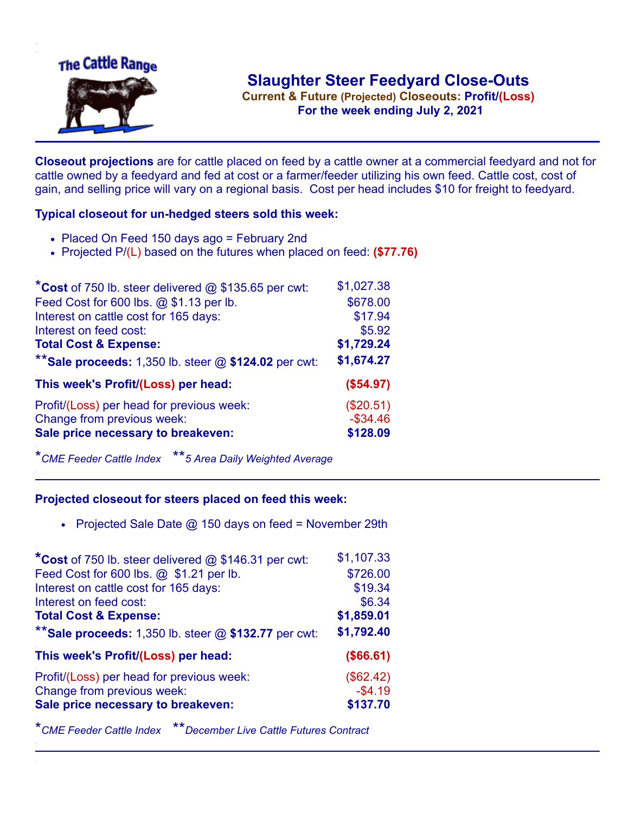

**Current & Future (Projected) Closeouts: Profit/(Loss)** .**For the week ending July 2, 2021**

**Closeout projections** are for cattle placed on feed by a cattle owner at a commercial feedyard and not for cattle owned by a feedyard and fed at cost or a farmer/feeder utilizing his own feed. Cattle cost, cost of gain, and selling price will vary on a regional basis. Cost per head includes \$10 for freight to feedyard.

## **Typical closeout for un-hedged steers sold this week:**

- Placed On Feed 150 days ago = February 2nd
- Projected P/(L) based on the futures when placed on feed: **(\$77.76)**

| *Cost of 750 lb. steer delivered $@$ \$135.65 per cwt:  | \$1,027.38  |
|---------------------------------------------------------|-------------|
| Feed Cost for 600 lbs. @ \$1.13 per lb.                 | \$678.00    |
| Interest on cattle cost for 165 days:                   | \$17.94     |
| Interest on feed cost:                                  | \$5.92      |
| <b>Total Cost &amp; Expense:</b>                        | \$1,729.24  |
| ** Sale proceeds: 1,350 lb. steer $@$ \$124.02 per cwt: | \$1,674.27  |
| This week's Profit/(Loss) per head:                     | (\$54.97)   |
| Profit/(Loss) per head for previous week:               | (\$20.51)   |
| Change from previous week:                              | $-$ \$34.46 |
| Sale price necessary to breakeven:                      | \$128.09    |

\**CME Feeder Cattle Index* \*\**5 Area Daily Weighted Average*

## **Projected closeout for steers placed on feed this week:**

• Projected Sale Date  $@$  150 days on feed = November 29th

| *Cost of 750 lb. steer delivered @ \$146.31 per cwt:    | \$1,107.33 |
|---------------------------------------------------------|------------|
| Feed Cost for 600 lbs. @ \$1.21 per lb.                 | \$726.00   |
| Interest on cattle cost for 165 days:                   | \$19.34    |
| Interest on feed cost:                                  | \$6.34     |
| <b>Total Cost &amp; Expense:</b>                        | \$1,859.01 |
| ** Sale proceeds: 1,350 lb. steer $@$ \$132.77 per cwt: | \$1,792.40 |
| This week's Profit/(Loss) per head:                     | (\$66.61)  |
| Profit/(Loss) per head for previous week:               | (\$62.42)  |
| Change from previous week:                              | $-$4.19$   |
| Sale price necessary to breakeven:                      | \$137.70   |
|                                                         |            |

\**CME Feeder Cattle Index* \*\**December Live Cattle Futures Contract*